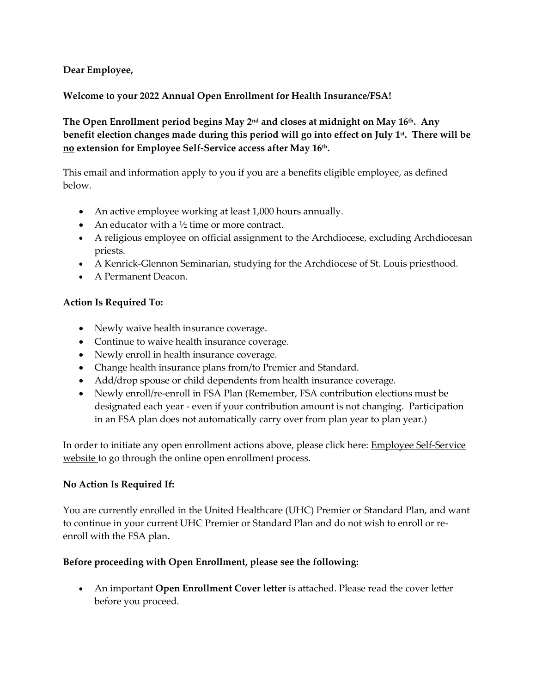# **Dear Employee,**

# **Welcome to your 2022 Annual Open Enrollment for Health Insurance/FSA!**

**The Open Enrollment period begins May 2nd and closes at midnight on May 16th . Any benefit election changes made during this period will go into effect on July 1st . There will be no extension for Employee Self-Service access after May 16th .** 

This email and information apply to you if you are a benefits eligible employee, as defined below.

- An active employee working at least 1,000 hours annually.
- An educator with a  $\frac{1}{2}$  time or more contract.
- A religious employee on official assignment to the Archdiocese, excluding Archdiocesan priests.
- A Kenrick-Glennon Seminarian, studying for the Archdiocese of St. Louis priesthood.
- A Permanent Deacon.

### **Action Is Required To:**

- Newly waive health insurance coverage.
- Continue to waive health insurance coverage.
- Newly enroll in health insurance coverage.
- Change health insurance plans from/to Premier and Standard.
- Add/drop spouse or child dependents from health insurance coverage.
- Newly enroll/re-enroll in FSA Plan (Remember, FSA contribution elections must be designated each year - even if your contribution amount is not changing. Participation in an FSA plan does not automatically carry over from plan year to plan year.)

In order to initiate any open enrollment actions above, please click here: [Employee Self-Service](https://fofw12law.archstl.org/sso/SSOServlet?wa=wsignin1.0&wtrealm=https%3a%2f%2flawson10.archstl.org%2f_trust&wctx=https%3a%2f%2flawson10.archstl.org%2f_layouts%2fAuthenticate.aspx%3fSource%3d%252F&wreply=https%3a%2f%2flawson10.archstl.org%2f_trust%2fdefault.aspx)  [website](https://fofw12law.archstl.org/sso/SSOServlet?wa=wsignin1.0&wtrealm=https%3a%2f%2flawson10.archstl.org%2f_trust&wctx=https%3a%2f%2flawson10.archstl.org%2f_layouts%2fAuthenticate.aspx%3fSource%3d%252F&wreply=https%3a%2f%2flawson10.archstl.org%2f_trust%2fdefault.aspx) to go through the online open enrollment process.

### **No Action Is Required If:**

You are currently enrolled in the United Healthcare (UHC) Premier or Standard Plan, and want to continue in your current UHC Premier or Standard Plan and do not wish to enroll or reenroll with the FSA plan**.**

### **Before proceeding with Open Enrollment, please see the following:**

 An important **Open Enrollment Cover letter** is attached. Please read the cover letter before you proceed.